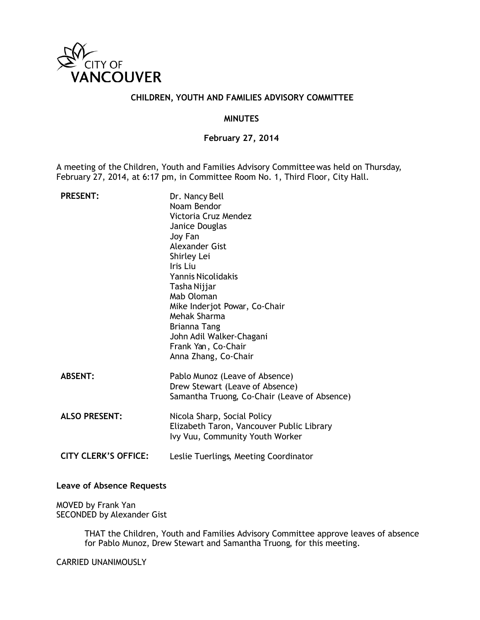

### **CHILDREN, YOUTH AND FAMILIES ADVISORY COMMITTEE**

#### **MINUTES**

**February 27, 2014**

A meeting of the Children, Youth and Families Advisory Committee was held on Thursday, February 27, 2014, at 6:17 pm, in Committee Room No. 1, Third Floor, City Hall.

| <b>PRESENT:</b>             | Dr. Nancy Bell<br>Noam Bendor<br>Victoria Cruz Mendez<br>Janice Douglas<br>Joy Fan<br>Alexander Gist<br>Shirley Lei<br>Iris Liu<br>Yannis Nicolidakis<br>Tasha Nijjar<br>Mab Oloman<br>Mike Inderjot Powar, Co-Chair<br>Mehak Sharma<br>Brianna Tang<br>John Adil Walker-Chagani<br>Frank Yan, Co-Chair<br>Anna Zhang, Co-Chair |
|-----------------------------|---------------------------------------------------------------------------------------------------------------------------------------------------------------------------------------------------------------------------------------------------------------------------------------------------------------------------------|
| <b>ABSENT:</b>              | Pablo Munoz (Leave of Absence)<br>Drew Stewart (Leave of Absence)<br>Samantha Truong, Co-Chair (Leave of Absence)                                                                                                                                                                                                               |
| <b>ALSO PRESENT:</b>        | Nicola Sharp, Social Policy<br>Elizabeth Taron, Vancouver Public Library<br>Ivy Vuu, Community Youth Worker                                                                                                                                                                                                                     |
| <b>CITY CLERK'S OFFICE:</b> | Leslie Tuerlings, Meeting Coordinator                                                                                                                                                                                                                                                                                           |

#### **Leave of Absence Requests**

MOVED by Frank Yan SECONDED by Alexander Gist

> THAT the Children, Youth and Families Advisory Committee approve leaves of absence for Pablo Munoz, Drew Stewart and Samantha Truong, for this meeting.

CARRIED UNANIMOUSLY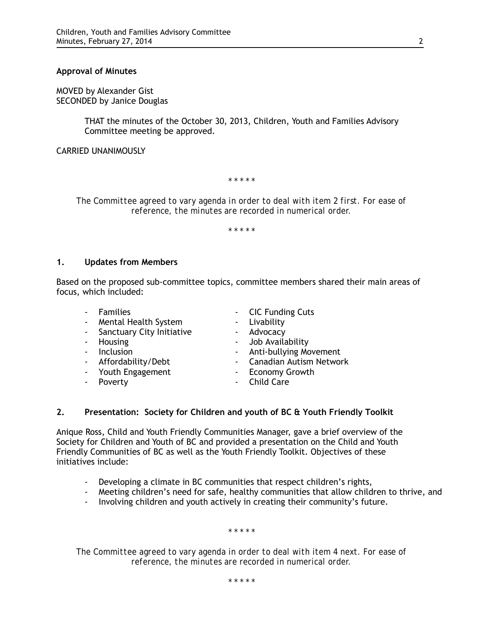#### **Approval of Minutes**

MOVED by Alexander Gist SECONDED by Janice Douglas

> THAT the minutes of the October 30, 2013, Children, Youth and Families Advisory Committee meeting be approved.

#### CARRIED UNANIMOUSLY

*\* \* \* \* \**

*The Committee agreed to vary agenda in order to deal with item 2 first. For ease of reference, the minutes are recorded in numerical order.*

*\* \* \* \* \**

#### **1. Updates from Members**

Based on the proposed sub-committee topics, committee members shared their main areas of focus, which included:

- 
- Mental Health System Livability
- Sanctuary City Initiative Advocacy
- 
- 
- 
- Youth Engagement Fig. 2014 From Growth
- 
- Families  **CIC Funding Cuts** 
	-
	-
- Housing Job Availability
- Inclusion  **Anti-bullying Movement**
- Affordability/Debt Canadian Autism Network
	-
- Poverty **Child Care**

#### **2. Presentation: Society for Children and youth of BC & Youth Friendly Toolkit**

Anique Ross, Child and Youth Friendly Communities Manager, gave a brief overview of the Society for Children and Youth of BC and provided a presentation on the Child and Youth Friendly Communities of BC as well as the Youth Friendly Toolkit. Objectives of these initiatives include:

- Developing a climate in BC communities that respect children's rights,
- Meeting children's need for safe, healthy communities that allow children to thrive, and
- Involving children and youth actively in creating their community's future.

*\* \* \* \* \**

*The Committee agreed to vary agenda in order to deal with item 4 next. For ease of reference, the minutes are recorded in numerical order.*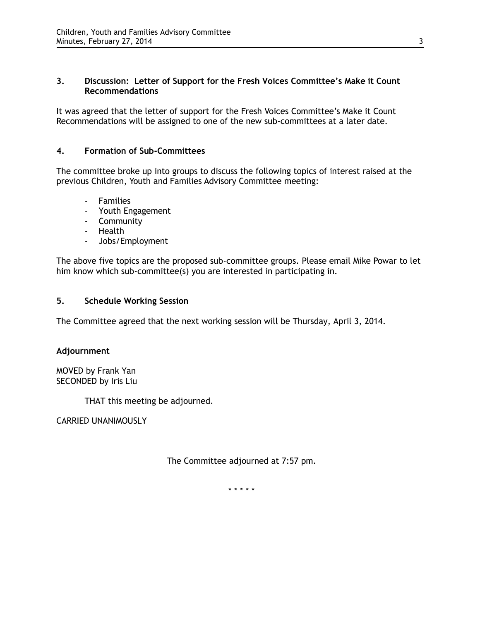### **3. Discussion: Letter of Support for the Fresh Voices Committee's Make it Count Recommendations**

It was agreed that the letter of support for the Fresh Voices Committee's Make it Count Recommendations will be assigned to one of the new sub-committees at a later date.

## **4. Formation of Sub-Committees**

The committee broke up into groups to discuss the following topics of interest raised at the previous Children, Youth and Families Advisory Committee meeting:

- Families
- Youth Engagement
- Community
- Health
- Jobs/Employment

The above five topics are the proposed sub-committee groups. Please email Mike Powar to let him know which sub-committee(s) you are interested in participating in.

### **5. Schedule Working Session**

The Committee agreed that the next working session will be Thursday, April 3, 2014.

### **Adjournment**

MOVED by Frank Yan SECONDED by Iris Liu

THAT this meeting be adjourned.

CARRIED UNANIMOUSLY

The Committee adjourned at 7:57 pm.

\* \* \* \* \*